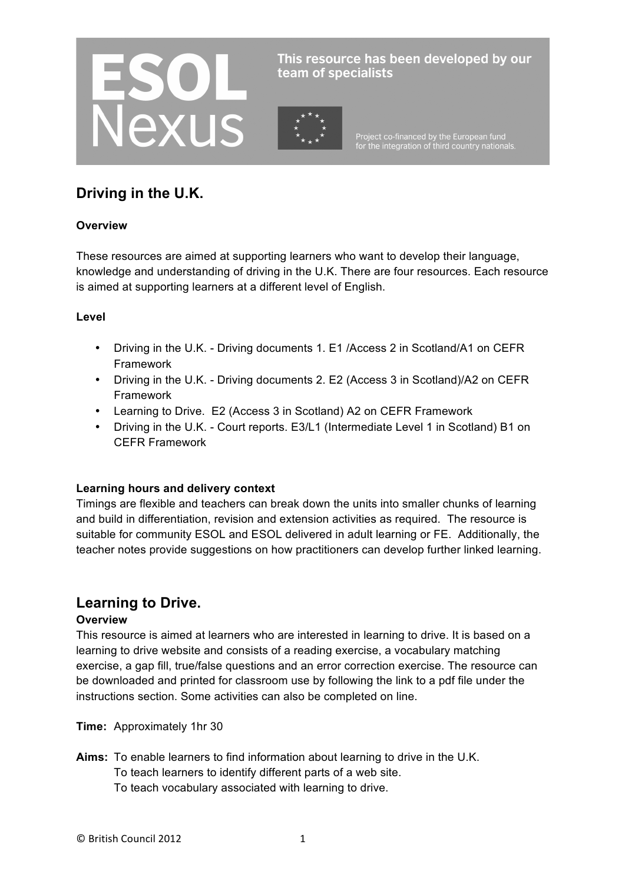

This resource has been developed by our team of specialists

Project co-financed by the European fund<br>for the integration of third country nationals.

# **Driving in the U.K.**

#### **Overview**

These resources are aimed at supporting learners who want to develop their language, knowledge and understanding of driving in the U.K. There are four resources. Each resource is aimed at supporting learners at a different level of English.

#### **Level**

- Driving in the U.K. Driving documents 1. E1 /Access 2 in Scotland/A1 on CEFR Framework
- Driving in the U.K. Driving documents 2. E2 (Access 3 in Scotland)/A2 on CEFR Framework
- Learning to Drive. E2 (Access 3 in Scotland) A2 on CEFR Framework
- Driving in the U.K. Court reports. E3/L1 (Intermediate Level 1 in Scotland) B1 on CEFR Framework

#### **Learning hours and delivery context**

Timings are flexible and teachers can break down the units into smaller chunks of learning and build in differentiation, revision and extension activities as required. The resource is suitable for community ESOL and ESOL delivered in adult learning or FE. Additionally, the teacher notes provide suggestions on how practitioners can develop further linked learning.

## **Learning to Drive.**

#### **Overview**

This resource is aimed at learners who are interested in learning to drive. It is based on a learning to drive website and consists of a reading exercise, a vocabulary matching exercise, a gap fill, true/false questions and an error correction exercise. The resource can be downloaded and printed for classroom use by following the link to a pdf file under the instructions section. Some activities can also be completed on line.

**Time:** Approximately 1hr 30

- **Aims:** To enable learners to find information about learning to drive in the U.K.
	- To teach learners to identify different parts of a web site.
	- To teach vocabulary associated with learning to drive.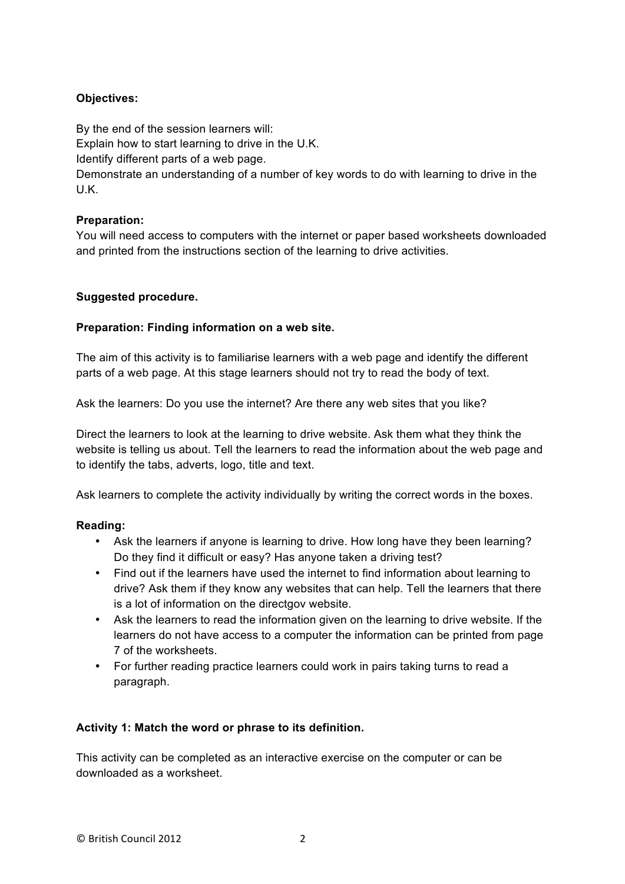### **Objectives:**

By the end of the session learners will:

Explain how to start learning to drive in the U.K.

Identify different parts of a web page.

Demonstrate an understanding of a number of key words to do with learning to drive in the U.K.

### **Preparation:**

You will need access to computers with the internet or paper based worksheets downloaded and printed from the instructions section of the learning to drive activities.

### **Suggested procedure.**

### **Preparation: Finding information on a web site.**

The aim of this activity is to familiarise learners with a web page and identify the different parts of a web page. At this stage learners should not try to read the body of text.

Ask the learners: Do you use the internet? Are there any web sites that you like?

Direct the learners to look at the learning to drive website. Ask them what they think the website is telling us about. Tell the learners to read the information about the web page and to identify the tabs, adverts, logo, title and text.

Ask learners to complete the activity individually by writing the correct words in the boxes.

### **Reading:**

- Ask the learners if anyone is learning to drive. How long have they been learning? Do they find it difficult or easy? Has anyone taken a driving test?
- Find out if the learners have used the internet to find information about learning to drive? Ask them if they know any websites that can help. Tell the learners that there is a lot of information on the directgov website.
- Ask the learners to read the information given on the learning to drive website. If the learners do not have access to a computer the information can be printed from page 7 of the worksheets.
- For further reading practice learners could work in pairs taking turns to read a paragraph.

### **Activity 1: Match the word or phrase to its definition.**

This activity can be completed as an interactive exercise on the computer or can be downloaded as a worksheet.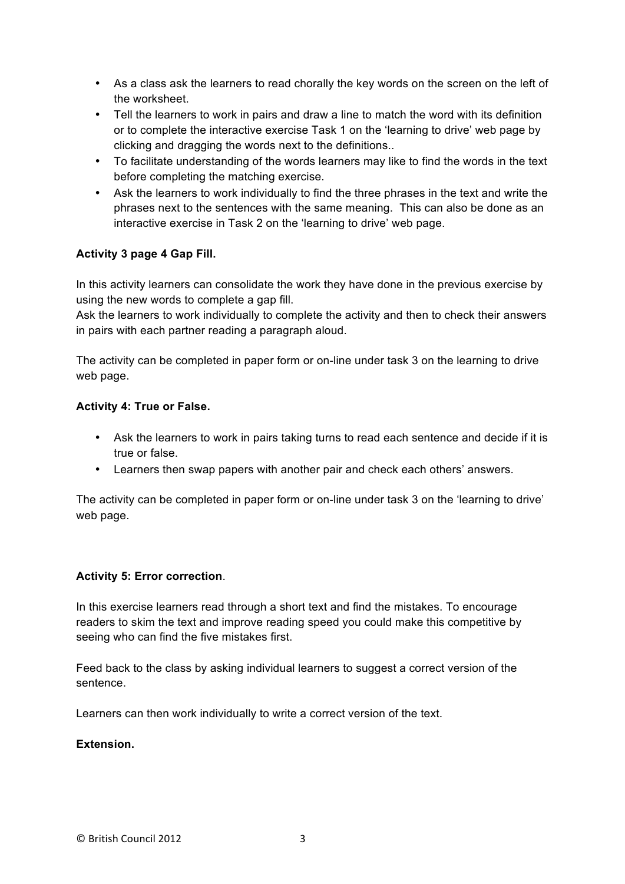- As a class ask the learners to read chorally the key words on the screen on the left of the worksheet.
- Tell the learners to work in pairs and draw a line to match the word with its definition or to complete the interactive exercise Task 1 on the 'learning to drive' web page by clicking and dragging the words next to the definitions..
- To facilitate understanding of the words learners may like to find the words in the text before completing the matching exercise.
- Ask the learners to work individually to find the three phrases in the text and write the phrases next to the sentences with the same meaning. This can also be done as an interactive exercise in Task 2 on the 'learning to drive' web page.

### **Activity 3 page 4 Gap Fill.**

In this activity learners can consolidate the work they have done in the previous exercise by using the new words to complete a gap fill.

Ask the learners to work individually to complete the activity and then to check their answers in pairs with each partner reading a paragraph aloud.

The activity can be completed in paper form or on-line under task 3 on the learning to drive web page.

#### **Activity 4: True or False.**

- Ask the learners to work in pairs taking turns to read each sentence and decide if it is true or false.
- Learners then swap papers with another pair and check each others' answers.

The activity can be completed in paper form or on-line under task 3 on the 'learning to drive' web page.

#### **Activity 5: Error correction**.

In this exercise learners read through a short text and find the mistakes. To encourage readers to skim the text and improve reading speed you could make this competitive by seeing who can find the five mistakes first.

Feed back to the class by asking individual learners to suggest a correct version of the sentence.

Learners can then work individually to write a correct version of the text.

#### **Extension.**